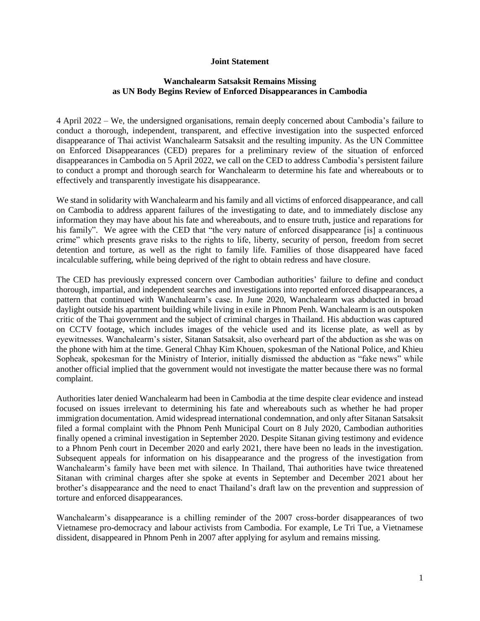## **Joint Statement**

## **Wanchalearm Satsaksit Remains Missing as UN Body Begins Review of Enforced Disappearances in Cambodia**

4 April 2022 – We, the undersigned organisations, remain deeply concerned about Cambodia's failure to conduct a thorough, independent, transparent, and effective investigation into the suspected enforced disappearance of Thai activist Wanchalearm Satsaksit and the resulting impunity. As the UN Committee on Enforced Disappearances (CED) prepares for a preliminary review of the situation of enforced disappearances in Cambodia on 5 April 2022, we call on the CED to address Cambodia's persistent failure to conduct a prompt and thorough search for Wanchalearm to determine his fate and whereabouts or to effectively and transparently investigate his disappearance.

We stand in solidarity with Wanchalearm and his family and all victims of enforced disappearance, and call on Cambodia to address apparent failures of the investigating to date, and to immediately disclose any information they may have about his fate and whereabouts, and to ensure truth, justice and reparations for his family". We agree with the CED that "the very nature of enforced disappearance [is] a continuous crime" which presents grave risks to the rights to life, liberty, security of person, freedom from secret detention and torture, as well as the right to family life. Families of those disappeared have faced incalculable suffering, while being deprived of the right to obtain redress and have closure.

The CED has previously expressed concern over Cambodian authorities' failure to define and conduct thorough, impartial, and independent searches and investigations into reported enforced disappearances, a pattern that continued with Wanchalearm's case. In June 2020, Wanchalearm was abducted in broad daylight outside his apartment building while living in exile in Phnom Penh. Wanchalearm is an outspoken critic of the Thai government and the subject of criminal charges in Thailand. His abduction was captured on CCTV footage, which includes images of the vehicle used and its license plate, as well as by eyewitnesses. Wanchalearm's sister, Sitanan Satsaksit, also overheard part of the abduction as she was on the phone with him at the time. General Chhay Kim Khouen, spokesman of the National Police, and Khieu Sopheak, spokesman for the Ministry of Interior, initially dismissed the abduction as "fake news" while another official implied that the government would not investigate the matter because there was no formal complaint.

Authorities later denied Wanchalearm had been in Cambodia at the time despite clear evidence and instead focused on issues irrelevant to determining his fate and whereabouts such as whether he had proper immigration documentation. Amid widespread international condemnation, and only after Sitanan Satsaksit filed a formal complaint with the Phnom Penh Municipal Court on 8 July 2020, Cambodian authorities finally opened a criminal investigation in September 2020. Despite Sitanan giving testimony and evidence to a Phnom Penh court in December 2020 and early 2021, there have been no leads in the investigation. Subsequent appeals for information on his disappearance and the progress of the investigation from Wanchalearm's family have been met with silence. In Thailand, Thai authorities have twice threatened Sitanan with criminal charges after she spoke at events in September and December 2021 about her brother's disappearance and the need to enact Thailand's draft law on the prevention and suppression of torture and enforced disappearances.

Wanchalearm's disappearance is a chilling reminder of the 2007 cross-border disappearances of two Vietnamese pro-democracy and labour activists from Cambodia. For example, Le Tri Tue, a Vietnamese dissident, disappeared in Phnom Penh in 2007 after applying for asylum and remains missing.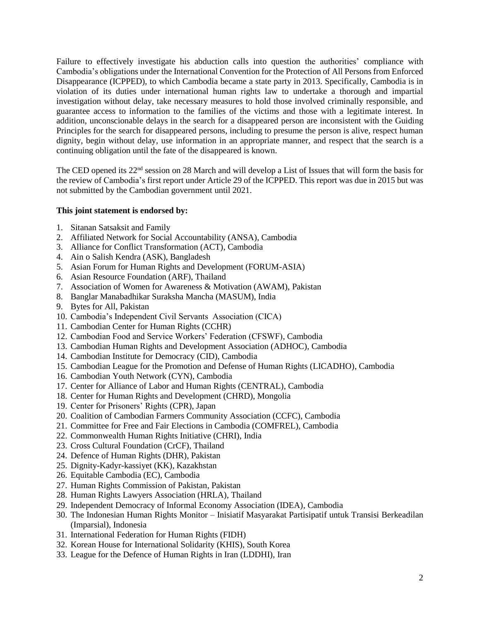Failure to effectively investigate his abduction calls into question the authorities' compliance with Cambodia's obligations under the International Convention for the Protection of All Persons from Enforced Disappearance (ICPPED), to which Cambodia became a state party in 2013. Specifically, Cambodia is in violation of its duties under international human rights law to undertake a thorough and impartial investigation without delay, take necessary measures to hold those involved criminally responsible, and guarantee access to information to the families of the victims and those with a legitimate interest. In addition, unconscionable delays in the search for a disappeared person are inconsistent with the Guiding Principles for the search for disappeared persons, including to presume the person is alive, respect human dignity, begin without delay, use information in an appropriate manner, and respect that the search is a continuing obligation until the fate of the disappeared is known.

The CED opened its 22<sup>nd</sup> session on 28 March and will develop a List of Issues that will form the basis for the review of Cambodia's first report under Article 29 of the ICPPED. This report was due in 2015 but was not submitted by the Cambodian government until 2021.

## **This joint statement is endorsed by:**

- 1. Sitanan Satsaksit and Family
- 2. Affiliated Network for Social Accountability (ANSA), Cambodia
- 3. Alliance for Conflict Transformation (ACT), Cambodia
- 4. Ain o Salish Kendra (ASK), Bangladesh
- 5. Asian Forum for Human Rights and Development (FORUM-ASIA)
- 6. Asian Resource Foundation (ARF), Thailand
- 7. Association of Women for Awareness & Motivation (AWAM), Pakistan
- 8. Banglar Manabadhikar Suraksha Mancha (MASUM), India
- 9. Bytes for All, Pakistan
- 10. Cambodia's Independent Civil Servants Association (CICA)
- 11. Cambodian Center for Human Rights (CCHR)
- 12. Cambodian Food and Service Workers' Federation (CFSWF), Cambodia
- 13. Cambodian Human Rights and Development Association (ADHOC), Cambodia
- 14. Cambodian Institute for Democracy (CID), Cambodia
- 15. Cambodian League for the Promotion and Defense of Human Rights (LICADHO), Cambodia
- 16. Cambodian Youth Network (CYN), Cambodia
- 17. Center for Alliance of Labor and Human Rights (CENTRAL), Cambodia
- 18. Center for Human Rights and Development (CHRD), Mongolia
- 19. Center for Prisoners' Rights (CPR), Japan
- 20. Coalition of Cambodian Farmers Community Association (CCFC), Cambodia
- 21. Committee for Free and Fair Elections in Cambodia (COMFREL), Cambodia
- 22. Commonwealth Human Rights Initiative (CHRI), India
- 23. Cross Cultural Foundation (CrCF), Thailand
- 24. Defence of Human Rights (DHR), Pakistan
- 25. Dignity-Kadyr-kassiyet (KK), Kazakhstan
- 26. Equitable Cambodia (EC), Cambodia
- 27. Human Rights Commission of Pakistan, Pakistan
- 28. Human Rights Lawyers Association (HRLA), Thailand
- 29. Independent Democracy of Informal Economy Association (IDEA), Cambodia
- 30. The Indonesian Human Rights Monitor Inisiatif Masyarakat Partisipatif untuk Transisi Berkeadilan (Imparsial), Indonesia
- 31. International Federation for Human Rights (FIDH)
- 32. Korean House for International Solidarity (KHIS), South Korea
- 33. League for the Defence of Human Rights in Iran (LDDHI), Iran